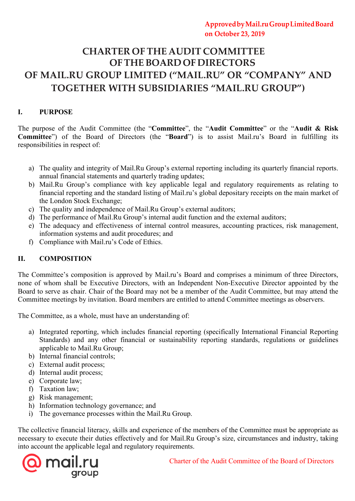# **CHARTER OFTHE AUDIT COMMITTEE OFTHEBOARD OF DIRECTORS OF MAIL.RU GROUP LIMITED ("MAIL.RU" OR "COMPANY" AND TOGETHER WITH SUBSIDIARIES "MAIL.RU GROUP")**

## **I. PURPOSE**

The purpose of the Audit Committee (the "**Committee**", the "**Audit Committee**" or the "**Audit & Risk Committee**") of the Board of Directors (the "**Board**") is to assist Mail.ru's Board in fulfilling its responsibilities in respect of:

- a) The quality and integrity of Mail.Ru Group's external reporting including its quarterly financial reports. annual financial statements and quarterly trading updates;
- b) Mail.Ru Group's compliance with key applicable legal and regulatory requirements as relating to financial reporting and the standard listing of Mail.ru's global depositary receipts on the main market of the London Stock Exchange;
- c) The quality and independence of Mail.Ru Group's external auditors;
- d) The performance of Mail.Ru Group's internal audit function and the external auditors;
- e) The adequacy and effectiveness of internal control measures, accounting practices, risk management, information systems and audit procedures; and
- f) Compliance with Mail.ru's Code of Ethics.

## **II. COMPOSITION**

The Committee's composition is approved by Mail.ru's Board and comprises a minimum of three Directors, none of whom shall be Executive Directors, with an Independent Non-Executive Director appointed by the Board to serve as chair. Chair of the Board may not be a member of the Audit Committee, but may attend the Committee meetings by invitation. Board members are entitled to attend Committee meetings as observers.

The Committee, as a whole, must have an understanding of:

- a) Integrated reporting, which includes financial reporting (specifically International Financial Reporting Standards) and any other financial or sustainability reporting standards, regulations or guidelines applicable to Mail.Ru Group;
- b) Internal financial controls;
- c) External audit process;
- d) Internal audit process;
- e) Corporate law;
- f) Taxation law;
- g) Risk management;
- h) Information technology governance; and
- i) The governance processes within the Mail.Ru Group.

The collective financial literacy, skills and experience of the members of the Committee must be appropriate as necessary to execute their duties effectively and for Mail.Ru Group's size, circumstances and industry, taking into account the applicable legal and regulatory requirements.



Charter of the Audit Committee of the Board of Directors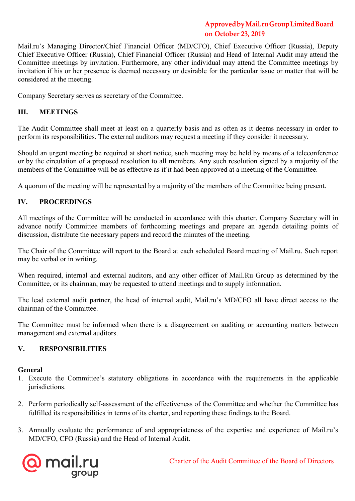Mail.ru's Managing Director/Chief Financial Officer (MD/CFO), Chief Executive Officer (Russia), Deputy Chief Executive Officer (Russia), Chief Financial Officer (Russia) and Head of Internal Audit may attend the Committee meetings by invitation. Furthermore, any other individual may attend the Committee meetings by invitation if his or her presence is deemed necessary or desirable for the particular issue or matter that will be considered at the meeting.

Company Secretary serves as secretary of the Committee.

### **III. MEETINGS**

The Audit Committee shall meet at least on a quarterly basis and as often as it deems necessary in order to perform its responsibilities. The external auditors may request a meeting if they consider it necessary.

Should an urgent meeting be required at short notice, such meeting may be held by means of a teleconference or by the circulation of a proposed resolution to all members. Any such resolution signed by a majority of the members of the Committee will be as effective as if it had been approved at a meeting of the Committee.

A quorum of the meeting will be represented by a majority of the members of the Committee being present.

#### **IV. PROCEEDINGS**

All meetings of the Committee will be conducted in accordance with this charter. Company Secretary will in advance notify Committee members of forthcoming meetings and prepare an agenda detailing points of discussion, distribute the necessary papers and record the minutes of the meeting.

The Chair of the Committee will report to the Board at each scheduled Board meeting of Mail.ru. Such report may be verbal or in writing.

When required, internal and external auditors, and any other officer of Mail.Ru Group as determined by the Committee, or its chairman, may be requested to attend meetings and to supply information.

The lead external audit partner, the head of internal audit, Mail.ru's MD/CFO all have direct access to the chairman of the Committee.

The Committee must be informed when there is a disagreement on auditing or accounting matters between management and external auditors.

### **V. RESPONSIBILITIES**

#### **General**

- 1. Execute the Committee's statutory obligations in accordance with the requirements in the applicable jurisdictions.
- 2. Perform periodically self-assessment of the effectiveness of the Committee and whether the Committee has fulfilled its responsibilities in terms of its charter, and reporting these findings to the Board.
- 3. Annually evaluate the performance of and appropriateness of the expertise and experience of Mail.ru's MD/CFO, CFO (Russia) and the Head of Internal Audit.

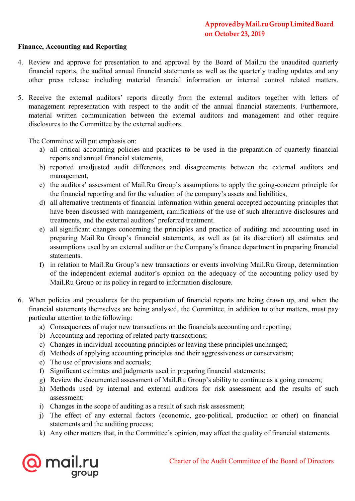#### **Finance, Accounting and Reporting**

- 4. Review and approve for presentation to and approval by the Board of Mail.ru the unaudited quarterly financial reports, the audited annual financial statements as well as the quarterly trading updates and any other press release including material financial information or internal control related matters.
- 5. Receive the external auditors' reports directly from the external auditors together with letters of management representation with respect to the audit of the annual financial statements. Furthermore, material written communication between the external auditors and management and other require disclosures to the Committee by the external auditors.

The Committee will put emphasis on:

- a) all critical accounting policies and practices to be used in the preparation of quarterly financial reports and annual financial statements,
- b) reported unadjusted audit differences and disagreements between the external auditors and management,
- c) the auditors' assessment of Mail.Ru Group's assumptions to apply the going-concern principle for the financial reporting and for the valuation of the company's assets and liabilities,
- d) all alternative treatments of financial information within general accepted accounting principles that have been discussed with management, ramifications of the use of such alternative disclosures and treatments, and the external auditors' preferred treatment.
- e) all significant changes concerning the principles and practice of auditing and accounting used in preparing Mail.Ru Group's financial statements, as well as (at its discretion) all estimates and assumptions used by an external auditor or the Company's finance department in preparing financial statements.
- f) in relation to Mail.Ru Group's new transactions or events involving Mail.Ru Group, determination of the independent external auditor's opinion on the adequacy of the accounting policy used by Mail.Ru Group or its policy in regard to information disclosure.
- 6. When policies and procedures for the preparation of financial reports are being drawn up, and when the financial statements themselves are being analysed, the Committee, in addition to other matters, must pay particular attention to the following:
	- a) Consequences of major new transactions on the financials accounting and reporting;
	- b) Accounting and reporting of related party transactions;
	- c) Changes in individual accounting principles or leaving these principles unchanged;
	- d) Methods of applying accounting principles and their aggressiveness or conservatism;
	- e) The use of provisions and accruals;
	- f) Significant estimates and judgments used in preparing financial statements;
	- g) Review the documented assessment of Mail.Ru Group's ability to continue as a going concern;
	- h) Methods used by internal and external auditors for risk assessment and the results of such assessment;
	- i) Changes in the scope of auditing as a result of such risk assessment;
	- j) The effect of any external factors (economic, geo-political, production or other) on financial statements and the auditing process;
	- k) Any other matters that, in the Committee's opinion, may affect the quality of financial statements.

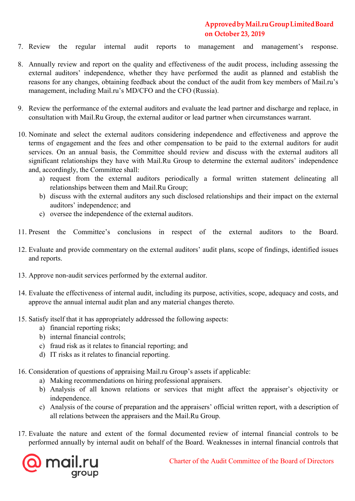- 7. Review the regular internal audit reports to management and management's response.
- 8. Annually review and report on the quality and effectiveness of the audit process, including assessing the external auditors' independence, whether they have performed the audit as planned and establish the reasons for any changes, obtaining feedback about the conduct of the audit from key members of Mail.ru's management, including Mail.ru's MD/CFO and the CFO (Russia).
- 9. Review the performance of the external auditors and evaluate the lead partner and discharge and replace, in consultation with Mail.Ru Group, the external auditor or lead partner when circumstances warrant.
- 10. Nominate and select the external auditors considering independence and effectiveness and approve the terms of engagement and the fees and other compensation to be paid to the external auditors for audit services. On an annual basis, the Committee should review and discuss with the external auditors all significant relationships they have with Mail.Ru Group to determine the external auditors' independence and, accordingly, the Committee shall:
	- a) request from the external auditors periodically a formal written statement delineating all relationships between them and Mail.Ru Group;
	- b) discuss with the external auditors any such disclosed relationships and their impact on the external auditors' independence; and
	- c) oversee the independence of the external auditors.
- 11. Present the Committee's conclusions in respect of the external auditors to the Board.
- 12. Evaluate and provide commentary on the external auditors' audit plans, scope of findings, identified issues and reports.
- 13. Approve non-audit services performed by the external auditor.
- 14. Evaluate the effectiveness of internal audit, including its purpose, activities, scope, adequacy and costs, and approve the annual internal audit plan and any material changes thereto.
- 15. Satisfy itself that it has appropriately addressed the following aspects:
	- a) financial reporting risks;
	- b) internal financial controls;
	- c) fraud risk as it relates to financial reporting; and
	- d) IT risks as it relates to financial reporting.
- 16. Consideration of questions of appraising Mail.ru Group's assets if applicable:
	- a) Making recommendations on hiring professional appraisers.
	- b) Analysis of all known relations or services that might affect the appraiser's objectivity or independence.
	- c) Analysis of the course of preparation and the appraisers' official written report, with a description of all relations between the appraisers and the Mail.Ru Group.
- 17. Evaluate the nature and extent of the formal documented review of internal financial controls to be performed annually by internal audit on behalf of the Board. Weaknesses in internal financial controls that

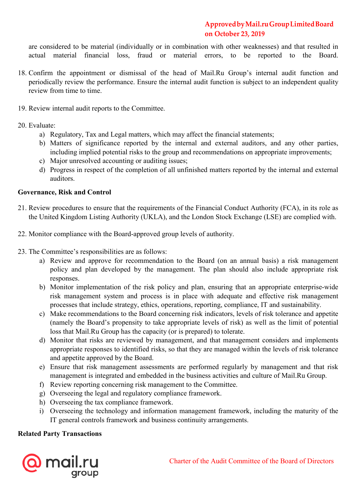are considered to be material (individually or in combination with other weaknesses) and that resulted in actual material financial loss, fraud or material errors, to be reported to the Board.

- 18. Confirm the appointment or dismissal of the head of Mail.Ru Group's internal audit function and periodically review the performance. Ensure the internal audit function is subject to an independent quality review from time to time.
- 19. Review internal audit reports to the Committee.
- 20. Evaluate:
	- a) Regulatory, Tax and Legal matters, which may affect the financial statements;
	- b) Matters of significance reported by the internal and external auditors, and any other parties, including implied potential risks to the group and recommendations on appropriate improvements;
	- c) Major unresolved accounting or auditing issues;
	- d) Progress in respect of the completion of all unfinished matters reported by the internal and external auditors.

### **Governance, Risk and Control**

- 21. Review procedures to ensure that the requirements of the Financial Conduct Authority (FCA), in its role as the United Kingdom Listing Authority (UKLA), and the London Stock Exchange (LSE) are complied with.
- 22. Monitor compliance with the Board-approved group levels of authority.
- 23. The Committee's responsibilities are as follows:
	- a) Review and approve for recommendation to the Board (on an annual basis) a risk management policy and plan developed by the management. The plan should also include appropriate risk responses.
	- b) Monitor implementation of the risk policy and plan, ensuring that an appropriate enterprise-wide risk management system and process is in place with adequate and effective risk management processes that include strategy, ethics, operations, reporting, compliance, IT and sustainability.
	- c) Make recommendations to the Board concerning risk indicators, levels of risk tolerance and appetite (namely the Board's propensity to take appropriate levels of risk) as well as the limit of potential loss that Mail.Ru Group has the capacity (or is prepared) to tolerate.
	- d) Monitor that risks are reviewed by management, and that management considers and implements appropriate responses to identified risks, so that they are managed within the levels of risk tolerance and appetite approved by the Board.
	- e) Ensure that risk management assessments are performed regularly by management and that risk management is integrated and embedded in the business activities and culture of Mail.Ru Group.
	- f) Review reporting concerning risk management to the Committee.
	- g) Overseeing the legal and regulatory compliance framework.
	- h) Overseeing the tax compliance framework.
	- i) Overseeing the technology and information management framework, including the maturity of the IT general controls framework and business continuity arrangements.

#### **Related Party Transactions**